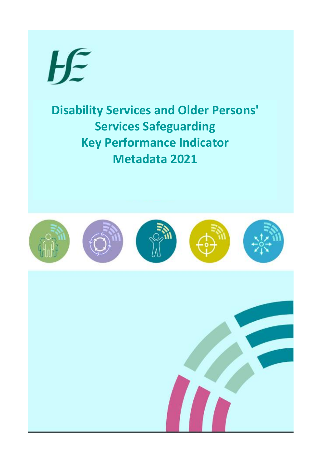

**Disability Services and Older Persons' Services Safeguarding Key Performance Indicator Metadata 2021**

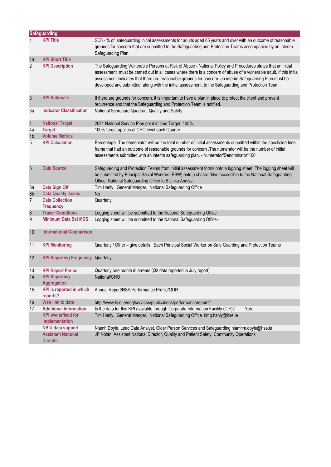|                | <b>Safeguarding</b>                          |                                                                                                                                                                                                                                                                                                                                                                                                                                                          |
|----------------|----------------------------------------------|----------------------------------------------------------------------------------------------------------------------------------------------------------------------------------------------------------------------------------------------------------------------------------------------------------------------------------------------------------------------------------------------------------------------------------------------------------|
|                | <b>KPI Title</b>                             | SC6 - % of safeguarding initial assessments for adults aged 65 years and over with an outcome of reasonable<br>grounds for concern that are submitted to the Safeguarding and Protection Teams accompanied by an interim<br>Safeguarding Plan.                                                                                                                                                                                                           |
| 1a             | <b>KPI Short Title</b>                       |                                                                                                                                                                                                                                                                                                                                                                                                                                                          |
| $\overline{2}$ | <b>KPI Description</b>                       | The Safeguarding Vulnerable Persons at Risk of Abuse - National Policy and Procedures states that an initial<br>assessment must be carried out in all cases where there is a concern of abuse of a vulnerable adult. If this initial<br>assessment indicates that there are reasonable grounds for concern, an interim Safeguarding Plan must be<br>developed and submitted, along with the initial assessment, to the Safeguarding and Protection Team. |
| $\sqrt{3}$     | <b>KPI Rationale</b>                         | If there are grounds for concern, it is important to have a plan in place to protect the client and prevent<br>recurrence and that the Safeguarding and Protection Team is notified.                                                                                                                                                                                                                                                                     |
| За             | <b>Indicator Classification</b>              | National Scorecard Quadrant Quality and Safety                                                                                                                                                                                                                                                                                                                                                                                                           |
| $\overline{4}$ | <b>National Target</b>                       | 2021 National Service Plan point in time Target: 100%.                                                                                                                                                                                                                                                                                                                                                                                                   |
| 4a             | <b>Target</b>                                | 100% target applies at CHO level each Quarter                                                                                                                                                                                                                                                                                                                                                                                                            |
| 4b             | <b>Volume Metrics</b>                        |                                                                                                                                                                                                                                                                                                                                                                                                                                                          |
| 5              | <b>KPI Calculation</b>                       | Percentage- The demoniator will be the total number of initial assessments submitted within the specficied time<br>frame that had an outcome of reasonable grounds for concern .The numerator will be the number of initial<br>assessments submitted with an interim safeguarding plan. - Numerator/Denominator*100                                                                                                                                      |
| $6\phantom{1}$ | <b>Data Source</b>                           | Safeguarding and Protection Teams from initial assessment forms onto a logging sheet. The logging sheet will<br>be submitted by Principal Social Workers (PSW) onto a shared drive accessible to the National Safeguarding<br>Office. National Safeguarding Office to BIU via Analyst                                                                                                                                                                    |
| 6a             | Data Sign Off                                | Tim Hanly, General Manger, National Safeguarding Office                                                                                                                                                                                                                                                                                                                                                                                                  |
| 6 <sub>b</sub> | <b>Data Quality Issues</b>                   | <b>No</b>                                                                                                                                                                                                                                                                                                                                                                                                                                                |
| 7              | <b>Data Collection</b><br><b>Frequency</b>   | Quarterly                                                                                                                                                                                                                                                                                                                                                                                                                                                |
| $\bf 8$        | <b>Tracer Conditions</b>                     | Logging sheet will be submitted to the National Safeguarding Office                                                                                                                                                                                                                                                                                                                                                                                      |
| 9              | <b>Minimum Data Set MDS</b>                  | Logging sheet will be submitted to the National Safeguarding Office -                                                                                                                                                                                                                                                                                                                                                                                    |
| 10             | <b>International Comparison</b>              |                                                                                                                                                                                                                                                                                                                                                                                                                                                          |
| 11             | <b>KPI Monitoring</b>                        | Quarterly / Other - give details: Each Principal Social Worker on Safe Guarding and Protection Teams                                                                                                                                                                                                                                                                                                                                                     |
| 12             | <b>KPI Reporting Frequency Quarterly</b>     |                                                                                                                                                                                                                                                                                                                                                                                                                                                          |
| 13             | <b>KPI Report Period</b>                     | Quarterly one month in arrears (Q2 data reported in July report)                                                                                                                                                                                                                                                                                                                                                                                         |
| 14             | <b>KPI Reporting</b><br>Aggregation          | National/CHO                                                                                                                                                                                                                                                                                                                                                                                                                                             |
| 15             | <b>KPI</b> is reported in which<br>reports?  | Annual Report/NSP/Performance Profile/MDR                                                                                                                                                                                                                                                                                                                                                                                                                |
| 16             | Web link to data                             | http://www.hse.ie/eng/services/publications/performancereports/                                                                                                                                                                                                                                                                                                                                                                                          |
| 17             | <b>Additional Information</b>                | Is the data for this KPI available through Corporate Information Facility (CIF)?<br>Yes                                                                                                                                                                                                                                                                                                                                                                  |
|                | <b>KPI</b> owner/lead for<br>implementation  | Tim Hanly, General Manger, National Safeguarding Office timg.hanly@hse.ie                                                                                                                                                                                                                                                                                                                                                                                |
|                | <b>NBIU data support</b>                     | Niamh Doyle, Lead Data Analyst, Older Person Services and Safeguarding niamhm.doyle@hse.ie                                                                                                                                                                                                                                                                                                                                                               |
|                | <b>Assistant National</b><br><b>Director</b> | JP Nolan, Assistant National Director, Quality and Patient Safety, Community Operations                                                                                                                                                                                                                                                                                                                                                                  |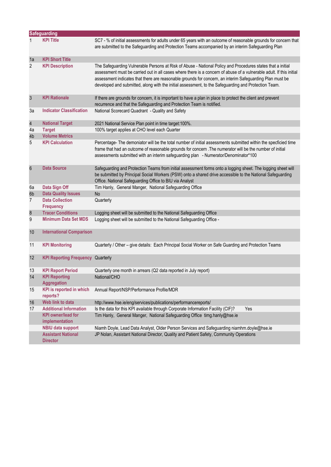|                | <b>Safeguarding</b>                                                          |                                                                                                                                                                                                                                                                                                                                                                                                                                                         |
|----------------|------------------------------------------------------------------------------|---------------------------------------------------------------------------------------------------------------------------------------------------------------------------------------------------------------------------------------------------------------------------------------------------------------------------------------------------------------------------------------------------------------------------------------------------------|
|                | <b>KPI Title</b>                                                             | SC7 - % of initial assessments for adults under 65 years with an outcome of reasonable grounds for concern that<br>are submitted to the Safeguarding and Protection Teams accompanied by an interim Safeguarding Plan                                                                                                                                                                                                                                   |
| 1a             | <b>KPI Short Title</b>                                                       |                                                                                                                                                                                                                                                                                                                                                                                                                                                         |
| $\overline{2}$ | <b>KPI Description</b>                                                       | The Safeguarding Vulnerable Persons at Risk of Abuse - National Policy and Procedures states that a initial<br>assessment must be carried out in all cases where there is a concern of abuse of a vulnerable adult. If this initial<br>assessment indicates that there are reasonable grounds for concern, an interim Safeguarding Plan must be<br>developed and submitted, along with the initial assessment, to the Safeguarding and Protection Team. |
| $\sqrt{3}$     | <b>KPI Rationale</b>                                                         | If there are grounds for concern, it is important to have a plan in place to protect the client and prevent<br>recurrence and that the Safeguarding and Protection Team is notified.                                                                                                                                                                                                                                                                    |
| 3a             | <b>Indicator Classification</b>                                              | National Scorecard Quadrant - Quality and Safety                                                                                                                                                                                                                                                                                                                                                                                                        |
| $\overline{4}$ | <b>National Target</b>                                                       | 2021 National Service Plan point in time target: 100%.                                                                                                                                                                                                                                                                                                                                                                                                  |
| 4a             | <b>Target</b>                                                                | 100% target applies at CHO level each Quarter                                                                                                                                                                                                                                                                                                                                                                                                           |
| 4b             | <b>Volume Metrics</b>                                                        |                                                                                                                                                                                                                                                                                                                                                                                                                                                         |
| 5              | <b>KPI Calculation</b>                                                       | Percentage- The demoniator will be the total number of initial assessments submitted within the specficied time<br>frame that had an outcome of reasonable grounds for concern .The numerator will be the number of initial<br>assessments submitted with an interim safeguarding plan - Numerator/Denominator*100                                                                                                                                      |
| $6\phantom{1}$ | <b>Data Source</b>                                                           | Safeguarding and Protection Teams from initial assessment forms onto a logging sheet. The logging sheet will<br>be submitted by Principal Social Workers (PSW) onto a shared drive accessible to the National Safeguarding<br>Office. National Safeguarding Office to BIU via Analyst                                                                                                                                                                   |
| 6a             | Data Sign Off                                                                | Tim Hanly, General Manger, National Safeguarding Office                                                                                                                                                                                                                                                                                                                                                                                                 |
| 6 <sub>b</sub> | <b>Data Quality Issues</b>                                                   | <b>No</b>                                                                                                                                                                                                                                                                                                                                                                                                                                               |
| 7              | <b>Data Collection</b><br><b>Frequency</b>                                   | Quarterly                                                                                                                                                                                                                                                                                                                                                                                                                                               |
| $\bf 8$        | <b>Tracer Conditions</b>                                                     | Logging sheet will be submitted to the National Safeguarding Office                                                                                                                                                                                                                                                                                                                                                                                     |
| 9              | <b>Minimum Data Set MDS</b>                                                  | Logging sheet will be submitted to the National Safeguarding Office -                                                                                                                                                                                                                                                                                                                                                                                   |
| 10             | <b>International Comparison</b>                                              |                                                                                                                                                                                                                                                                                                                                                                                                                                                         |
| 11             | <b>KPI Monitoring</b>                                                        | Quarterly / Other - give details: Each Principal Social Worker on Safe Guarding and Protection Teams                                                                                                                                                                                                                                                                                                                                                    |
| 12             | <b>KPI Reporting Frequency Quarterly</b>                                     |                                                                                                                                                                                                                                                                                                                                                                                                                                                         |
| 13             | <b>KPI Report Period</b>                                                     | Quarterly one month in arrears (Q2 data reported in July report)                                                                                                                                                                                                                                                                                                                                                                                        |
| 14             | <b>KPI Reporting</b><br>Aggregation                                          | National/CHO                                                                                                                                                                                                                                                                                                                                                                                                                                            |
| 15             | <b>KPI</b> is reported in which<br>reports?                                  | Annual Report/NSP/Performance Profile/MDR                                                                                                                                                                                                                                                                                                                                                                                                               |
| 16             | Web link to data                                                             | http://www.hse.ie/eng/services/publications/performancereports/                                                                                                                                                                                                                                                                                                                                                                                         |
| 17             | <b>Additional Information</b><br><b>KPI</b> owner/lead for<br>implementation | Is the data for this KPI available through Corporate Information Facility (CIF)?<br>Yes<br>Tim Hanly, General Manger, National Safeguarding Office timg.hanly@hse.ie                                                                                                                                                                                                                                                                                    |
|                | <b>NBIU data support</b>                                                     | Niamh Doyle, Lead Data Analyst, Older Person Services and Safeguarding niamhm.doyle@hse.ie                                                                                                                                                                                                                                                                                                                                                              |
|                | <b>Assistant National</b><br><b>Director</b>                                 | JP Nolan, Assistant National Director, Quality and Patient Safety, Community Operations                                                                                                                                                                                                                                                                                                                                                                 |